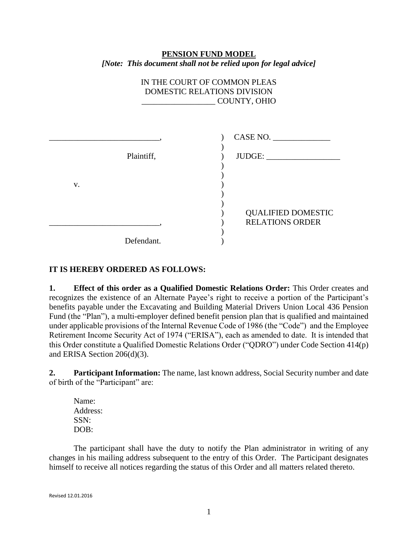## **PENSION FUND MODEL** *[Note: This document shall not be relied upon for legal advice]*

## IN THE COURT OF COMMON PLEAS DOMESTIC RELATIONS DIVISION \_\_\_\_\_\_\_\_\_\_\_\_\_\_\_\_\_\_ COUNTY, OHIO

|            | CASE NO.                                            |
|------------|-----------------------------------------------------|
| Plaintiff, | JUDGE:                                              |
| V.         |                                                     |
|            |                                                     |
|            | <b>QUALIFIED DOMESTIC</b><br><b>RELATIONS ORDER</b> |
| Defendant. |                                                     |

## **IT IS HEREBY ORDERED AS FOLLOWS:**

**1. Effect of this order as a Qualified Domestic Relations Order:** This Order creates and recognizes the existence of an Alternate Payee's right to receive a portion of the Participant's benefits payable under the Excavating and Building Material Drivers Union Local 436 Pension Fund (the "Plan"), a multi-employer defined benefit pension plan that is qualified and maintained under applicable provisions of the Internal Revenue Code of 1986 (the "Code") and the Employee Retirement Income Security Act of 1974 ("ERISA"), each as amended to date. It is intended that this Order constitute a Qualified Domestic Relations Order ("QDRO") under Code Section 414(p) and ERISA Section 206(d)(3).

**2. Participant Information:** The name, last known address, Social Security number and date of birth of the "Participant" are:

Name: Address: SSN: DOB:

The participant shall have the duty to notify the Plan administrator in writing of any changes in his mailing address subsequent to the entry of this Order. The Participant designates himself to receive all notices regarding the status of this Order and all matters related thereto.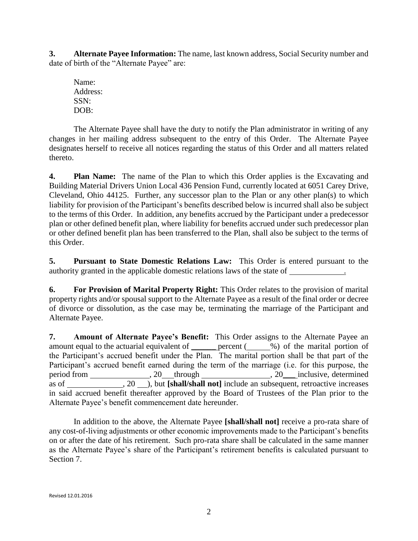**3. Alternate Payee Information:** The name, last known address, Social Security number and date of birth of the "Alternate Payee" are:

Name: Address: SSN: DOB:

The Alternate Payee shall have the duty to notify the Plan administrator in writing of any changes in her mailing address subsequent to the entry of this Order. The Alternate Payee designates herself to receive all notices regarding the status of this Order and all matters related thereto.

**4. Plan Name:** The name of the Plan to which this Order applies is the Excavating and Building Material Drivers Union Local 436 Pension Fund, currently located at 6051 Carey Drive, Cleveland, Ohio 44125. Further, any successor plan to the Plan or any other plan(s) to which liability for provision of the Participant's benefits described below is incurred shall also be subject to the terms of this Order. In addition, any benefits accrued by the Participant under a predecessor plan or other defined benefit plan, where liability for benefits accrued under such predecessor plan or other defined benefit plan has been transferred to the Plan, shall also be subject to the terms of this Order.

**5. Pursuant to State Domestic Relations Law:** This Order is entered pursuant to the authority granted in the applicable domestic relations laws of the state of .

**6. For Provision of Marital Property Right:** This Order relates to the provision of marital property rights and/or spousal support to the Alternate Payee as a result of the final order or decree of divorce or dissolution, as the case may be, terminating the marriage of the Participant and Alternate Payee.

**7. Amount of Alternate Payee's Benefit:** This Order assigns to the Alternate Payee an amount equal to the actuarial equivalent of \_\_\_\_\_\_ percent (\_\_\_\_%) of the marital portion of the Participant's accrued benefit under the Plan. The marital portion shall be that part of the Participant's accrued benefit earned during the term of the marriage (i.e. for this purpose, the period from , 20 through , 20\_\_\_ inclusive, determined as of  $\overline{20}$ , but **[shall/shall not]** include an subsequent, retroactive increases in said accrued benefit thereafter approved by the Board of Trustees of the Plan prior to the Alternate Payee's benefit commencement date hereunder.

In addition to the above, the Alternate Payee **[shall/shall not]** receive a pro-rata share of any cost-of-living adjustments or other economic improvements made to the Participant's benefits on or after the date of his retirement. Such pro-rata share shall be calculated in the same manner as the Alternate Payee's share of the Participant's retirement benefits is calculated pursuant to Section 7.

Revised 12.01.2016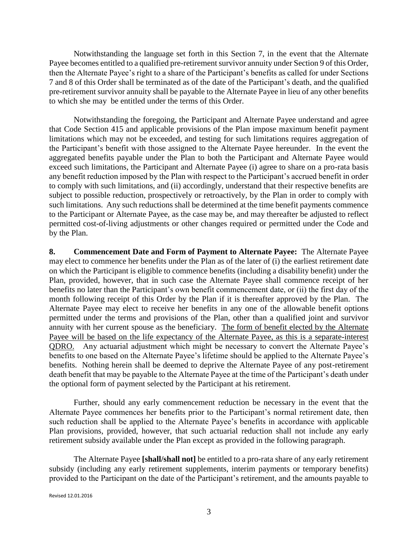Notwithstanding the language set forth in this Section 7, in the event that the Alternate Payee becomes entitled to a qualified pre-retirement survivor annuity under Section 9 of this Order, then the Alternate Payee's right to a share of the Participant's benefits as called for under Sections 7 and 8 of this Order shall be terminated as of the date of the Participant's death, and the qualified pre-retirement survivor annuity shall be payable to the Alternate Payee in lieu of any other benefits to which she may be entitled under the terms of this Order.

Notwithstanding the foregoing, the Participant and Alternate Payee understand and agree that Code Section 415 and applicable provisions of the Plan impose maximum benefit payment limitations which may not be exceeded, and testing for such limitations requires aggregation of the Participant's benefit with those assigned to the Alternate Payee hereunder. In the event the aggregated benefits payable under the Plan to both the Participant and Alternate Payee would exceed such limitations, the Participant and Alternate Payee (i) agree to share on a pro-rata basis any benefit reduction imposed by the Plan with respect to the Participant's accrued benefit in order to comply with such limitations, and (ii) accordingly, understand that their respective benefits are subject to possible reduction, prospectively or retroactively, by the Plan in order to comply with such limitations. Any such reductions shall be determined at the time benefit payments commence to the Participant or Alternate Payee, as the case may be, and may thereafter be adjusted to reflect permitted cost-of-living adjustments or other changes required or permitted under the Code and by the Plan.

**8. Commencement Date and Form of Payment to Alternate Payee:** The Alternate Payee may elect to commence her benefits under the Plan as of the later of (i) the earliest retirement date on which the Participant is eligible to commence benefits (including a disability benefit) under the Plan, provided, however, that in such case the Alternate Payee shall commence receipt of her benefits no later than the Participant's own benefit commencement date, or (ii) the first day of the month following receipt of this Order by the Plan if it is thereafter approved by the Plan. The Alternate Payee may elect to receive her benefits in any one of the allowable benefit options permitted under the terms and provisions of the Plan, other than a qualified joint and survivor annuity with her current spouse as the beneficiary. The form of benefit elected by the Alternate Payee will be based on the life expectancy of the Alternate Payee, as this is a separate-interest QDRO. Any actuarial adjustment which might be necessary to convert the Alternate Payee's benefits to one based on the Alternate Payee's lifetime should be applied to the Alternate Payee's benefits. Nothing herein shall be deemed to deprive the Alternate Payee of any post-retirement death benefit that may be payable to the Alternate Payee at the time of the Participant's death under the optional form of payment selected by the Participant at his retirement.

Further, should any early commencement reduction be necessary in the event that the Alternate Payee commences her benefits prior to the Participant's normal retirement date, then such reduction shall be applied to the Alternate Payee's benefits in accordance with applicable Plan provisions, provided, however, that such actuarial reduction shall not include any early retirement subsidy available under the Plan except as provided in the following paragraph.

The Alternate Payee **[shall/shall not]** be entitled to a pro-rata share of any early retirement subsidy (including any early retirement supplements, interim payments or temporary benefits) provided to the Participant on the date of the Participant's retirement, and the amounts payable to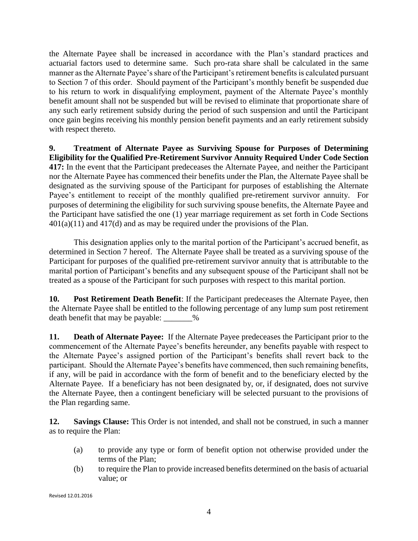the Alternate Payee shall be increased in accordance with the Plan's standard practices and actuarial factors used to determine same. Such pro-rata share shall be calculated in the same manner as the Alternate Payee's share of the Participant's retirement benefits is calculated pursuant to Section 7 of this order. Should payment of the Participant's monthly benefit be suspended due to his return to work in disqualifying employment, payment of the Alternate Payee's monthly benefit amount shall not be suspended but will be revised to eliminate that proportionate share of any such early retirement subsidy during the period of such suspension and until the Participant once gain begins receiving his monthly pension benefit payments and an early retirement subsidy with respect thereto.

**9. Treatment of Alternate Payee as Surviving Spouse for Purposes of Determining Eligibility for the Qualified Pre-Retirement Survivor Annuity Required Under Code Section 417:** In the event that the Participant predeceases the Alternate Payee, and neither the Participant nor the Alternate Payee has commenced their benefits under the Plan, the Alternate Payee shall be designated as the surviving spouse of the Participant for purposes of establishing the Alternate Payee's entitlement to receipt of the monthly qualified pre-retirement survivor annuity. For purposes of determining the eligibility for such surviving spouse benefits, the Alternate Payee and the Participant have satisfied the one (1) year marriage requirement as set forth in Code Sections  $401(a)(11)$  and  $417(d)$  and as may be required under the provisions of the Plan.

This designation applies only to the marital portion of the Participant's accrued benefit, as determined in Section 7 hereof. The Alternate Payee shall be treated as a surviving spouse of the Participant for purposes of the qualified pre-retirement survivor annuity that is attributable to the marital portion of Participant's benefits and any subsequent spouse of the Participant shall not be treated as a spouse of the Participant for such purposes with respect to this marital portion.

**10. Post Retirement Death Benefit**: If the Participant predeceases the Alternate Payee, then the Alternate Payee shall be entitled to the following percentage of any lump sum post retirement death benefit that may be payable: \_\_\_\_\_\_\_%

**11. Death of Alternate Payee:** If the Alternate Payee predeceases the Participant prior to the commencement of the Alternate Payee's benefits hereunder, any benefits payable with respect to the Alternate Payee's assigned portion of the Participant's benefits shall revert back to the participant. Should the Alternate Payee's benefits have commenced, then such remaining benefits, if any, will be paid in accordance with the form of benefit and to the beneficiary elected by the Alternate Payee. If a beneficiary has not been designated by, or, if designated, does not survive the Alternate Payee, then a contingent beneficiary will be selected pursuant to the provisions of the Plan regarding same.

**12. Savings Clause:** This Order is not intended, and shall not be construed, in such a manner as to require the Plan:

- (a) to provide any type or form of benefit option not otherwise provided under the terms of the Plan;
- (b) to require the Plan to provide increased benefits determined on the basis of actuarial value; or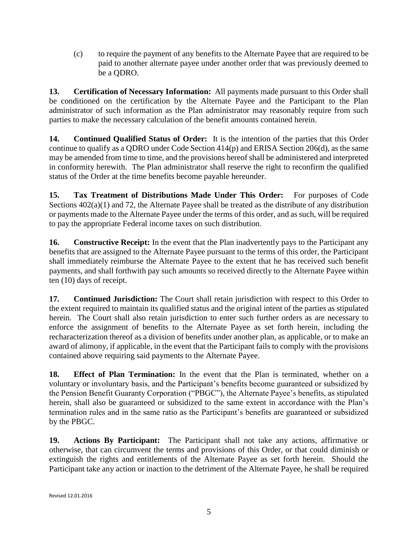(c) to require the payment of any benefits to the Alternate Payee that are required to be paid to another alternate payee under another order that was previously deemed to be a QDRO.

**13. Certification of Necessary Information:** All payments made pursuant to this Order shall be conditioned on the certification by the Alternate Payee and the Participant to the Plan administrator of such information as the Plan administrator may reasonably require from such parties to make the necessary calculation of the benefit amounts contained herein.

**14. Continued Qualified Status of Order:** It is the intention of the parties that this Order continue to qualify as a QDRO under Code Section 414(p) and ERISA Section 206(d), as the same may be amended from time to time, and the provisions hereof shall be administered and interpreted in conformity herewith. The Plan administrator shall reserve the right to reconfirm the qualified status of the Order at the time benefits become payable hereunder.

**15. Tax Treatment of Distributions Made Under This Order:** For purposes of Code Sections 402(a)(1) and 72, the Alternate Payee shall be treated as the distribute of any distribution or payments made to the Alternate Payee under the terms of this order, and as such, will be required to pay the appropriate Federal income taxes on such distribution.

**16. Constructive Receipt:** In the event that the Plan inadvertently pays to the Participant any benefits that are assigned to the Alternate Payee pursuant to the terms of this order, the Participant shall immediately reimburse the Alternate Payee to the extent that he has received such benefit payments, and shall forthwith pay such amounts so received directly to the Alternate Payee within ten (10) days of receipt.

**17. Continued Jurisdiction:** The Court shall retain jurisdiction with respect to this Order to the extent required to maintain its qualified status and the original intent of the parties as stipulated herein. The Court shall also retain jurisdiction to enter such further orders as are necessary to enforce the assignment of benefits to the Alternate Payee as set forth herein, including the recharacterization thereof as a division of benefits under another plan, as applicable, or to make an award of alimony, if applicable, in the event that the Participant fails to comply with the provisions contained above requiring said payments to the Alternate Payee.

**18. Effect of Plan Termination:** In the event that the Plan is terminated, whether on a voluntary or involuntary basis, and the Participant's benefits become guaranteed or subsidized by the Pension Benefit Guaranty Corporation ("PBGC"), the Alternate Payee's benefits, as stipulated herein, shall also be guaranteed or subsidized to the same extent in accordance with the Plan's termination rules and in the same ratio as the Participant's benefits are guaranteed or subsidized by the PBGC.

**19. Actions By Participant:** The Participant shall not take any actions, affirmative or otherwise, that can circumvent the terms and provisions of this Order, or that could diminish or extinguish the rights and entitlements of the Alternate Payee as set forth herein. Should the Participant take any action or inaction to the detriment of the Alternate Payee, he shall be required